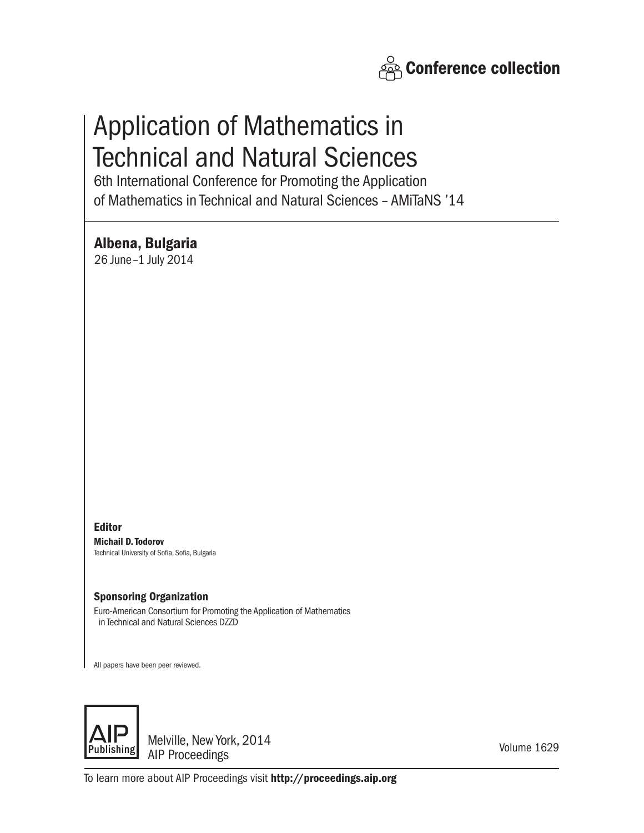

# Application of Mathematics in Technical and Natural Sciences

6th International Conference for Promoting the Application of Mathematics in Technical and Natural Sciences – AMiTaNS '14

Albena, Bulgaria

26 June–1 July 2014

Editor Michail D. Todorov Technical University of Sofia, Sofia, Bulgaria

## Sponsoring Organization

Euro-American Consortium for Promoting the Application of Mathematics in Technical and Natural Sciences DZZD

All papers have been peer reviewed.



Melville, New York, 2014 AIP Proceedings

Volume 1629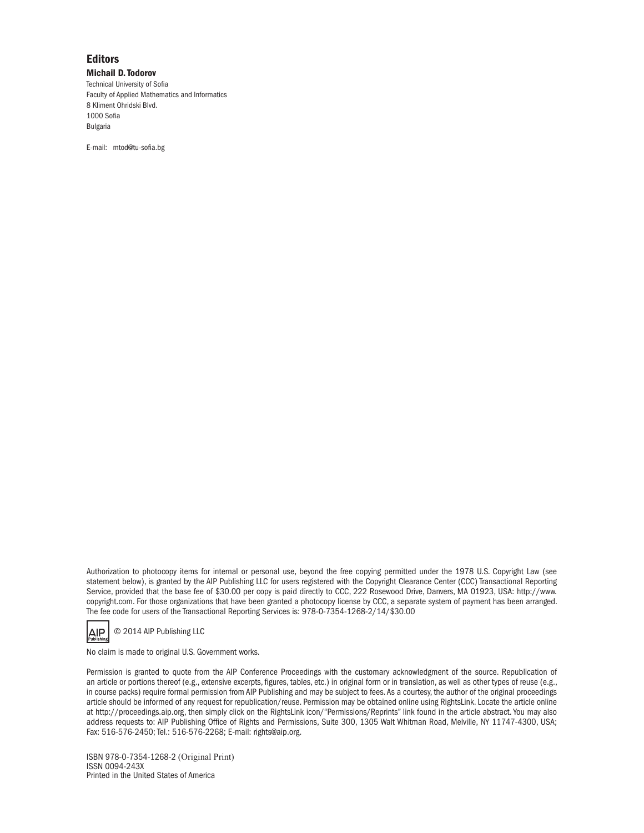### **Editors**

Michail D. Todorov Technical University of Sofia Faculty of Applied Mathematics and Informatics 8 Kliment Ohridski Blvd. 1000 Sofia Bulgaria

E-mail: mtod@tu-sofia.bg

Authorization to photocopy items for internal or personal use, beyond the free copying permitted under the 1978 U.S. Copyright Law (see statement below), is granted by the AIP Publishing LLC for users registered with the Copyright Clearance Center (CCC) Transactional Reporting Service, provided that the base fee of \$30.00 per copy is paid directly to CCC, 222 Rosewood Drive, Danvers, MA 01923, USA: http://www. copyright.com. For those organizations that have been granted a photocopy license by CCC, a separate system of payment has been arranged. The fee code for users of the Transactional Reporting Services is: 978-0-7354-1268-2/14/\$30.00

**AIP** © 2014 AIP Publishing LLC

No claim is made to original U.S. Government works.

Permission is granted to quote from the AIP Conference Proceedings with the customary acknowledgment of the source. Republication of an article or portions thereof (e.g., extensive excerpts, figures, tables, etc.) in original form or in translation, as well as other types of reuse (e.g., in course packs) require formal permission from AIP Publishing and may be subject to fees. As a courtesy, the author of the original proceedings article should be informed of any request for republication/reuse. Permission may be obtained online using RightsLink. Locate the article online at http://proceedings.aip.org, then simply click on the RightsLink icon/"Permissions/Reprints" link found in the article abstract. You may also address requests to: AIP Publishing Office of Rights and Permissions, Suite 300, 1305 Walt Whitman Road, Melville, NY 11747-4300, USA; Fax: 516-576-2450; Tel.: 516-576-2268; E-mail: rights@aip.org.

ISBN 978-0-7354-1268-2 (Original Print) ISSN 0094-243X Printed in the United States of America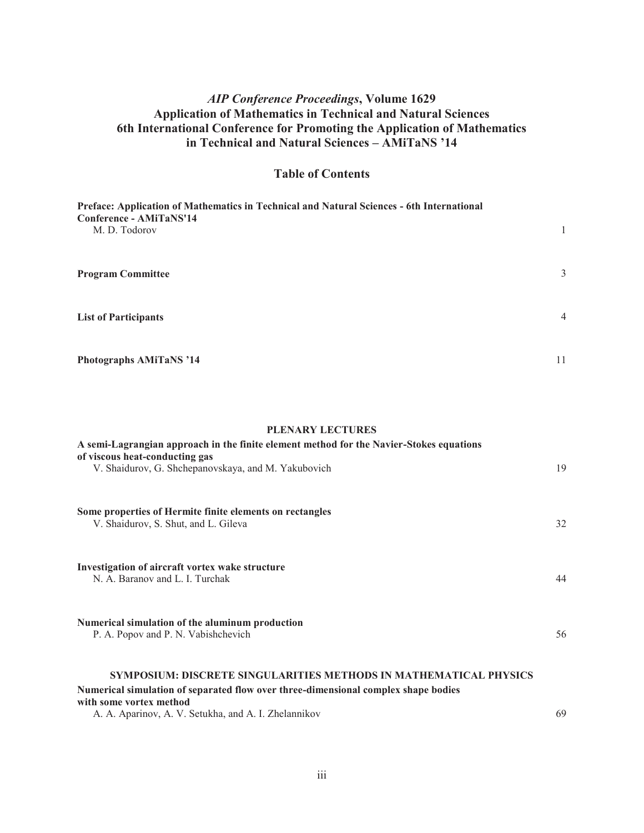# *AIP Conference Proceedings***, Volume 1629 Application of Mathematics in Technical and Natural Sciences 6th International Conference for Promoting the Application of Mathematics in Technical and Natural Sciences – AMiTaNS '14**

## **Table of Contents**

| Preface: Application of Mathematics in Technical and Natural Sciences - 6th International<br>Conference - AMiTaNS'14<br>M. D. Todorov |                |
|---------------------------------------------------------------------------------------------------------------------------------------|----------------|
| <b>Program Committee</b>                                                                                                              | 3              |
| <b>List of Participants</b>                                                                                                           | $\overline{4}$ |
| <b>Photographs AMiTaNS '14</b>                                                                                                        | 11             |

### **PLENARY LECTURES**

| A semi-Lagrangian approach in the finite element method for the Navier-Stokes equations<br>of viscous heat-conducting gas<br>V. Shaidurov, G. Shchepanovskaya, and M. Yakubovich | 19 |
|----------------------------------------------------------------------------------------------------------------------------------------------------------------------------------|----|
| Some properties of Hermite finite elements on rectangles<br>V. Shaidurov, S. Shut, and L. Gileva                                                                                 | 32 |
| Investigation of aircraft vortex wake structure<br>N. A. Baranov and L. I. Turchak                                                                                               | 44 |
| Numerical simulation of the aluminum production<br>P. A. Popov and P. N. Vabishchevich                                                                                           | 56 |
| SYMPOSIUM: DISCRETE SINGULARITIES METHODS IN MATHEMATICAL PHYSICS<br>Numerical simulation of separated flow over three-dimensional complex shape bodies                          |    |

| with some vortex method |                                                      |
|-------------------------|------------------------------------------------------|
|                         | A. A. Aparinov, A. V. Setukha, and A. I. Zhelannikov |

69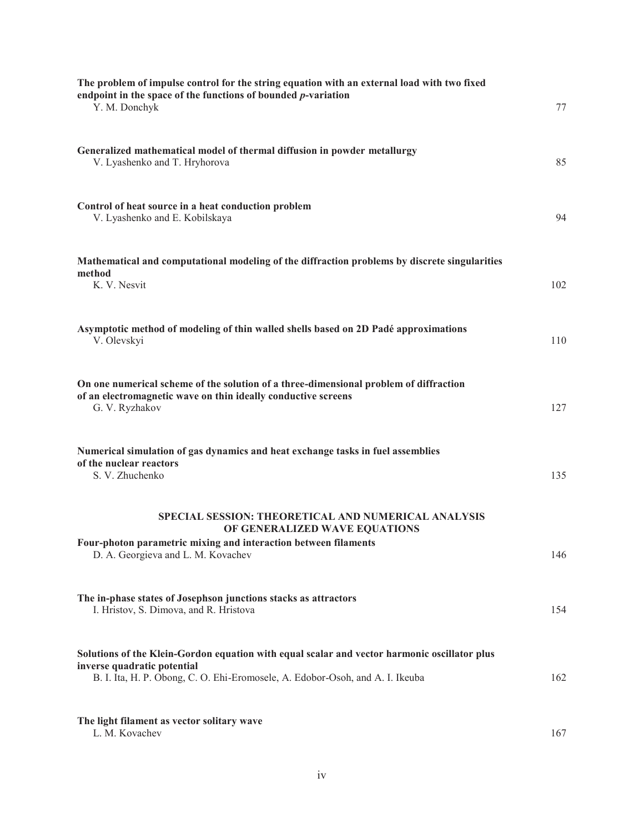| The problem of impulse control for the string equation with an external load with two fixed<br>endpoint in the space of the functions of bounded $p$ -variation<br>Y. M. Donchyk                             | 77  |
|--------------------------------------------------------------------------------------------------------------------------------------------------------------------------------------------------------------|-----|
| Generalized mathematical model of thermal diffusion in powder metallurgy<br>V. Lyashenko and T. Hryhorova                                                                                                    | 85  |
| Control of heat source in a heat conduction problem<br>V. Lyashenko and E. Kobilskaya                                                                                                                        | 94  |
| Mathematical and computational modeling of the diffraction problems by discrete singularities<br>method<br>K. V. Nesvit                                                                                      | 102 |
| Asymptotic method of modeling of thin walled shells based on 2D Padé approximations<br>V. Olevskyi                                                                                                           | 110 |
| On one numerical scheme of the solution of a three-dimensional problem of diffraction<br>of an electromagnetic wave on thin ideally conductive screens<br>G. V. Ryzhakov                                     | 127 |
| Numerical simulation of gas dynamics and heat exchange tasks in fuel assemblies<br>of the nuclear reactors<br>S. V. Zhuchenko                                                                                | 135 |
| SPECIAL SESSION: THEORETICAL AND NUMERICAL ANALYSIS<br>OF GENERALIZED WAVE EQUATIONS                                                                                                                         |     |
| Four-photon parametric mixing and interaction between filaments<br>D. A. Georgieva and L. M. Kovachev                                                                                                        | 146 |
| The in-phase states of Josephson junctions stacks as attractors<br>I. Hristov, S. Dimova, and R. Hristova                                                                                                    | 154 |
| Solutions of the Klein-Gordon equation with equal scalar and vector harmonic oscillator plus<br>inverse quadratic potential<br>B. I. Ita, H. P. Obong, C. O. Ehi-Eromosele, A. Edobor-Osoh, and A. I. Ikeuba | 162 |
| The light filament as vector solitary wave<br>L. M. Kovachev                                                                                                                                                 | 167 |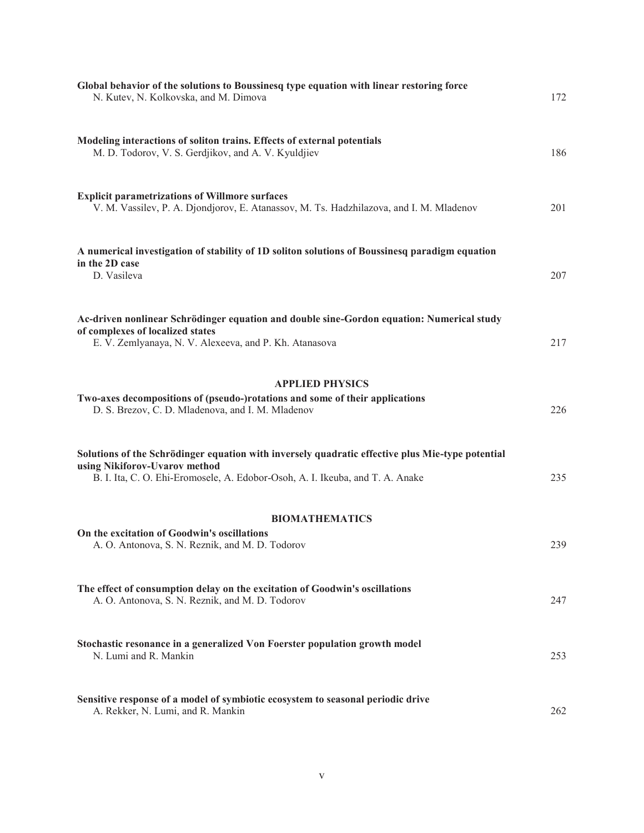| Global behavior of the solutions to Boussinesq type equation with linear restoring force<br>N. Kutev, N. Kolkovska, and M. Dimova                                                                                  | 172 |
|--------------------------------------------------------------------------------------------------------------------------------------------------------------------------------------------------------------------|-----|
| Modeling interactions of soliton trains. Effects of external potentials<br>M. D. Todorov, V. S. Gerdjikov, and A. V. Kyuldjiev                                                                                     | 186 |
| <b>Explicit parametrizations of Willmore surfaces</b><br>V. M. Vassilev, P. A. Djondjorov, E. Atanassov, M. Ts. Hadzhilazova, and I. M. Mladenov                                                                   | 201 |
| A numerical investigation of stability of 1D soliton solutions of Boussinesq paradigm equation<br>in the 2D case<br>D. Vasileva                                                                                    | 207 |
| Ac-driven nonlinear Schrödinger equation and double sine-Gordon equation: Numerical study<br>of complexes of localized states<br>E. V. Zemlyanaya, N. V. Alexeeva, and P. Kh. Atanasova                            | 217 |
| <b>APPLIED PHYSICS</b><br>Two-axes decompositions of (pseudo-)rotations and some of their applications<br>D. S. Brezov, C. D. Mladenova, and I. M. Mladenov                                                        | 226 |
| Solutions of the Schrödinger equation with inversely quadratic effective plus Mie-type potential<br>using Nikiforov-Uvarov method<br>B. I. Ita, C. O. Ehi-Eromosele, A. Edobor-Osoh, A. I. Ikeuba, and T. A. Anake | 235 |
| <b>BIOMATHEMATICS</b><br>On the excitation of Goodwin's oscillations<br>A. O. Antonova, S. N. Reznik, and M. D. Todorov                                                                                            | 239 |
| The effect of consumption delay on the excitation of Goodwin's oscillations<br>A. O. Antonova, S. N. Reznik, and M. D. Todorov                                                                                     | 247 |
| Stochastic resonance in a generalized Von Foerster population growth model<br>N. Lumi and R. Mankin                                                                                                                | 253 |
| Sensitive response of a model of symbiotic ecosystem to seasonal periodic drive<br>A. Rekker, N. Lumi, and R. Mankin                                                                                               | 262 |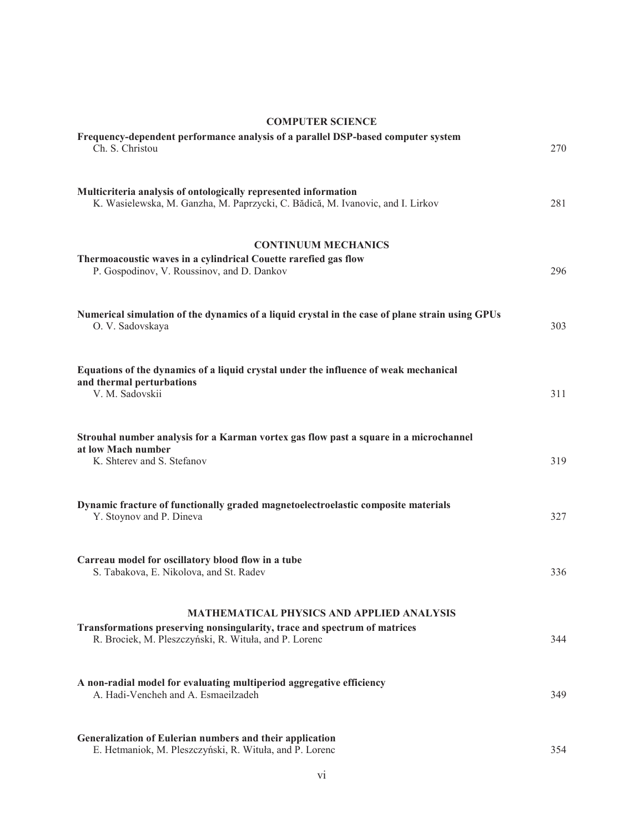| <b>COMPUTER SCIENCE</b>                                                                                                                                                                |     |
|----------------------------------------------------------------------------------------------------------------------------------------------------------------------------------------|-----|
| Frequency-dependent performance analysis of a parallel DSP-based computer system<br>Ch. S. Christou                                                                                    | 270 |
| Multicriteria analysis of ontologically represented information<br>K. Wasielewska, M. Ganzha, M. Paprzycki, C. Bădică, M. Ivanovic, and I. Lirkov                                      | 281 |
| <b>CONTINUUM MECHANICS</b><br>Thermoacoustic waves in a cylindrical Couette rarefied gas flow<br>P. Gospodinov, V. Roussinov, and D. Dankov                                            | 296 |
| Numerical simulation of the dynamics of a liquid crystal in the case of plane strain using GPUs<br>O. V. Sadovskaya                                                                    | 303 |
| Equations of the dynamics of a liquid crystal under the influence of weak mechanical<br>and thermal perturbations<br>V. M. Sadovskii                                                   | 311 |
| Strouhal number analysis for a Karman vortex gas flow past a square in a microchannel<br>at low Mach number<br>K. Shterey and S. Stefanov                                              | 319 |
| Dynamic fracture of functionally graded magnetoelectroelastic composite materials<br>Y. Stoynov and P. Dineva                                                                          | 327 |
| Carreau model for oscillatory blood flow in a tube<br>S. Tabakova, E. Nikolova, and St. Radev                                                                                          | 336 |
| <b>MATHEMATICAL PHYSICS AND APPLIED ANALYSIS</b><br>Transformations preserving nonsingularity, trace and spectrum of matrices<br>R. Brociek, M. Pleszczyński, R. Wituła, and P. Lorenc | 344 |
| A non-radial model for evaluating multiperiod aggregative efficiency<br>A. Hadi-Vencheh and A. Esmaeilzadeh                                                                            | 349 |
| Generalization of Eulerian numbers and their application<br>E. Hetmaniok, M. Pleszczyński, R. Wituła, and P. Lorenc                                                                    | 354 |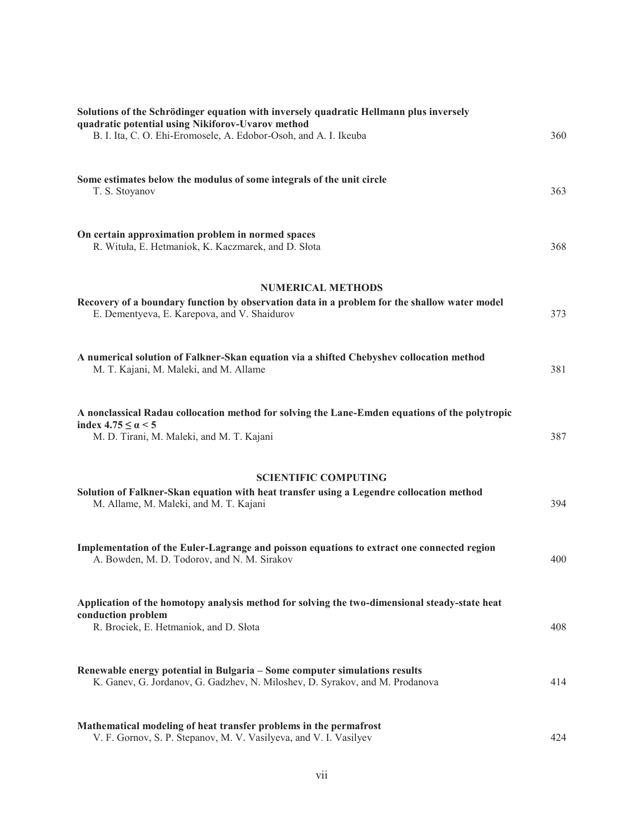| Solutions of the Schrödinger equation with inversely quadratic Hellmann plus inversely<br>quadratic potential using Nikiforov-Uvarov method<br>B. I. Ita, C. O. Ehi-Eromosele, A. Edobor-Osoh, and A. I. Ikeuba | 360 |
|-----------------------------------------------------------------------------------------------------------------------------------------------------------------------------------------------------------------|-----|
| Some estimates below the modulus of some integrals of the unit circle<br>T. S. Stoyanov                                                                                                                         | 363 |
| On certain approximation problem in normed spaces<br>R. Wituła, E. Hetmaniok, K. Kaczmarek, and D. Słota                                                                                                        | 368 |
| <b>NUMERICAL METHODS</b>                                                                                                                                                                                        |     |
| Recovery of a boundary function by observation data in a problem for the shallow water model<br>E. Dementyeva, E. Karepova, and V. Shaidurov                                                                    | 373 |
| A numerical solution of Falkner-Skan equation via a shifted Chebyshev collocation method<br>M. T. Kajani, M. Maleki, and M. Allame                                                                              | 381 |
| A nonclassical Radau collocation method for solving the Lane-Emden equations of the polytropic<br>index $4.75 \leq \alpha \leq 5$<br>M. D. Tirani, M. Maleki, and M. T. Kajani                                  | 387 |
| <b>SCIENTIFIC COMPUTING</b>                                                                                                                                                                                     |     |
| Solution of Falkner-Skan equation with heat transfer using a Legendre collocation method<br>M. Allame, M. Maleki, and M. T. Kajani                                                                              | 394 |
| Implementation of the Euler-Lagrange and poisson equations to extract one connected region<br>A. Bowden, M. D. Todorov, and N. M. Sirakov                                                                       | 400 |
| Application of the homotopy analysis method for solving the two-dimensional steady-state heat<br>conduction problem<br>R. Brociek, E. Hetmaniok, and D. Słota                                                   | 408 |
| Renewable energy potential in Bulgaria - Some computer simulations results<br>K. Ganev, G. Jordanov, G. Gadzhev, N. Miloshev, D. Syrakov, and M. Prodanova                                                      | 414 |
| Mathematical modeling of heat transfer problems in the permafrost<br>V. F. Gornov, S. P. Stepanov, M. V. Vasilyeva, and V. I. Vasilyev                                                                          | 424 |